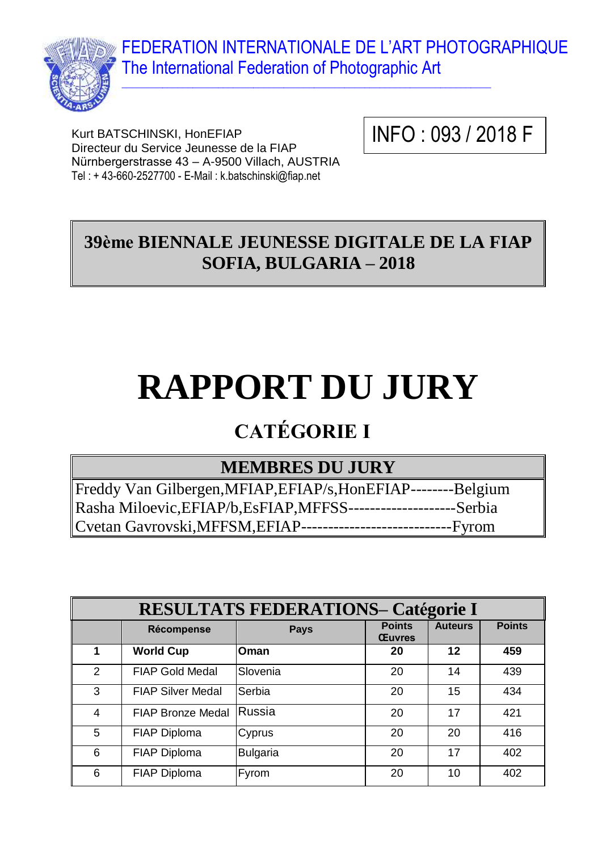FEDERATION INTERNATIONALE DE L'ART PHOTOGRAPHIQUE The International Federation of Photographic Art



Kurt BATSCHINSKI, HonEFIAP Directeur du Service Jeunesse de la FIAP Nürnbergerstrasse 43 – A-9500 Villach, AUSTRIA Tel : + 43-660-2527700 - E-Mail : k.batschinski@fiap.net

INFO : 093 / 2018 F

## **39ème BIENNALE JEUNESSE DIGITALE DE LA FIAP SOFIA, BULGARIA – 2018**

 $\_$  , and the set of the set of the set of the set of the set of the set of the set of the set of the set of the set of the set of the set of the set of the set of the set of the set of the set of the set of the set of th

# **RAPPORT DU JURY**

## **CATÉGORIE I**

## **MEMBRES DU JURY**

Freddy Van Gilbergen,MFIAP,EFIAP/s,HonEFIAP--------Belgium Rasha Miloevic,EFIAP/b,EsFIAP,MFFSS--------------------Serbia Cvetan Gavrovski,MFFSM,EFIAP----------------------------Fyrom

| <b>RESULTATS FEDERATIONS- Catégorie I</b> |                          |                 |                                |                |               |
|-------------------------------------------|--------------------------|-----------------|--------------------------------|----------------|---------------|
|                                           | Récompense               | <b>Pays</b>     | <b>Points</b><br><b>Œuvres</b> | <b>Auteurs</b> | <b>Points</b> |
|                                           | <b>World Cup</b>         | Oman            | 20                             | 12             | 459           |
| $\mathcal{P}$                             | <b>FIAP Gold Medal</b>   | Slovenia        | 20                             | 14             | 439           |
| 3                                         | <b>FIAP Silver Medal</b> | Serbia          | 20                             | 15             | 434           |
| $\overline{4}$                            | <b>FIAP Bronze Medal</b> | <b>Russia</b>   | 20                             | 17             | 421           |
| 5                                         | FIAP Diploma             | Cyprus          | 20                             | 20             | 416           |
| 6                                         | <b>FIAP Diploma</b>      | <b>Bulgaria</b> | 20                             | 17             | 402           |
| 6                                         | <b>FIAP Diploma</b>      | Fyrom           | 20                             | 10             | 402           |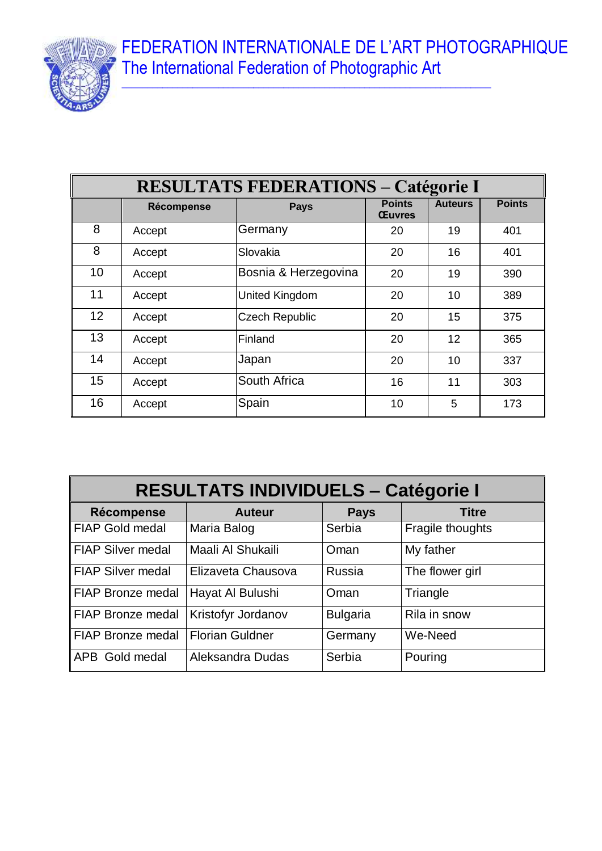FEDERATION INTERNATIONALE DE L'ART PHOTOGRAPHIQUE The International Federation of Photographic Art



| <b>RESULTATS FEDERATIONS - Catégorie I</b> |            |                       |                                |                |               |
|--------------------------------------------|------------|-----------------------|--------------------------------|----------------|---------------|
|                                            | Récompense | <b>Pays</b>           | <b>Points</b><br><b>Œuvres</b> | <b>Auteurs</b> | <b>Points</b> |
| 8                                          | Accept     | Germany               | 20                             | 19             | 401           |
| 8                                          | Accept     | Slovakia              | 20                             | 16             | 401           |
| 10                                         | Accept     | Bosnia & Herzegovina  | 20                             | 19             | 390           |
| 11                                         | Accept     | <b>United Kingdom</b> | 20                             | 10             | 389           |
| 12                                         | Accept     | <b>Czech Republic</b> | 20                             | 15             | 375           |
| 13                                         | Accept     | Finland               | 20                             | 12             | 365           |
| 14                                         | Accept     | Japan                 | 20                             | 10             | 337           |
| 15                                         | Accept     | South Africa          | 16                             | 11             | 303           |
| 16                                         | Accept     | Spain                 | 10                             | 5              | 173           |

| <b>RESULTATS INDIVIDUELS - Catégorie I</b> |                           |                 |                  |  |
|--------------------------------------------|---------------------------|-----------------|------------------|--|
| Récompense                                 | <b>Auteur</b>             | <b>Pays</b>     | <b>Titre</b>     |  |
| <b>FIAP Gold medal</b>                     | Maria Balog               | Serbia          | Fragile thoughts |  |
| <b>FIAP Silver medal</b>                   | Maali Al Shukaili         | Oman            | My father        |  |
| <b>FIAP Silver medal</b>                   | Elizaveta Chausova        | Russia          | The flower girl  |  |
| <b>FIAP Bronze medal</b>                   | Hayat Al Bulushi          | Oman            | Triangle         |  |
| <b>FIAP Bronze medal</b>                   | <b>Kristofyr Jordanov</b> | <b>Bulgaria</b> | Rila in snow     |  |
| FIAP Bronze medal                          | <b>Florian Guldner</b>    | Germany         | We-Need          |  |
| APB Gold medal                             | Aleksandra Dudas          | Serbia          | Pouring          |  |